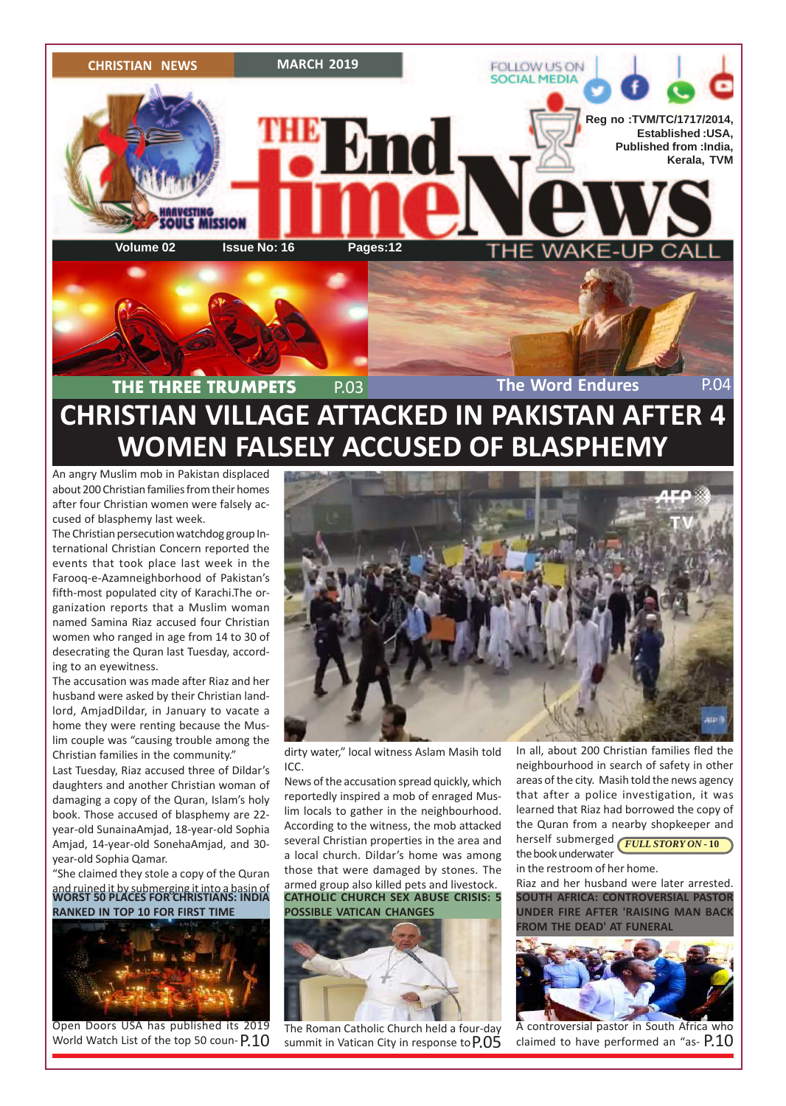

### **CHRISTIAN VILLAGE ATTACKED IN PAKISTAN AFTER 4 WOMEN FALSELY ACCUSED OF BLASPHEMY THE THREE TRUMPETS** P.03 **The Word Endures** P.04

An angry Muslim mob in Pakistan displaced about 200 Christian families from their homes after four Christian women were falsely accused of blasphemy last week.

The Christian persecution watchdog group International Christian Concern reported the events that took place last week in the Farooq-e-Azamneighborhood of Pakistan's fifth-most populated city of Karachi.The organization reports that a Muslim woman named Samina Riaz accused four Christian women who ranged in age from 14 to 30 of desecrating the Quran last Tuesday, according to an eyewitness.

The accusation was made after Riaz and her husband were asked by their Christian landlord, AmjadDildar, in January to vacate a home they were renting because the Muslim couple was "causing trouble among the Christian families in the community."

Last Tuesday, Riaz accused three of Dildar's daughters and another Christian woman of damaging a copy of the Quran, Islam's holy book. Those accused of blasphemy are 22 year-old SunainaAmjad, 18-year-old Sophia Amjad, 14-year-old SonehaAmjad, and 30 year-old Sophia Qamar.

"She claimed they stole a copy of the Quran

and ruined it by submerging it into a basin of **WORST 50 PLACES FOR CHRISTIANS: INDIA RANKED IN TOP 10 FOR FIRST TIME**



Open Doors USA has published its 2019 World Watch List of the top 50 coun-P.10



dirty water," local witness Aslam Masih told ICC.

News of the accusation spread quickly, which reportedly inspired a mob of enraged Muslim locals to gather in the neighbourhood. According to the witness, the mob attacked several Christian properties in the area and a local church. Dildar's home was among those that were damaged by stones. The armed group also killed pets and livestock. **CATHOLIC CHURCH SEX ABUSE CRISIS: 5**

**POSSIBLE VATICAN CHANGES**



 $P.10$  summit in Vatican City in response to  $P.05$  claimed to have performed an "as-  $P.10$ The Roman Catholic Church held a four-day summit in Vatican City in response to P.05

In all, about 200 Christian families fled the neighbourhood in search of safety in other areas of the city. Masih told the news agency that after a police investigation, it was learned that Riaz had borrowed the copy of the Quran from a nearby shopkeeper and

herself submerged **FULL STORY ON - 10** the book underwater

in the restroom of her home.

Riaz and her husband were later arrested. **SOUTH AFRICA: CONTROVERSIAL PASTOR UNDER FIRE AFTER 'RAISING MAN BACK FROM THE DEAD' AT FUNERAL**



A controversial pastor in South Africa who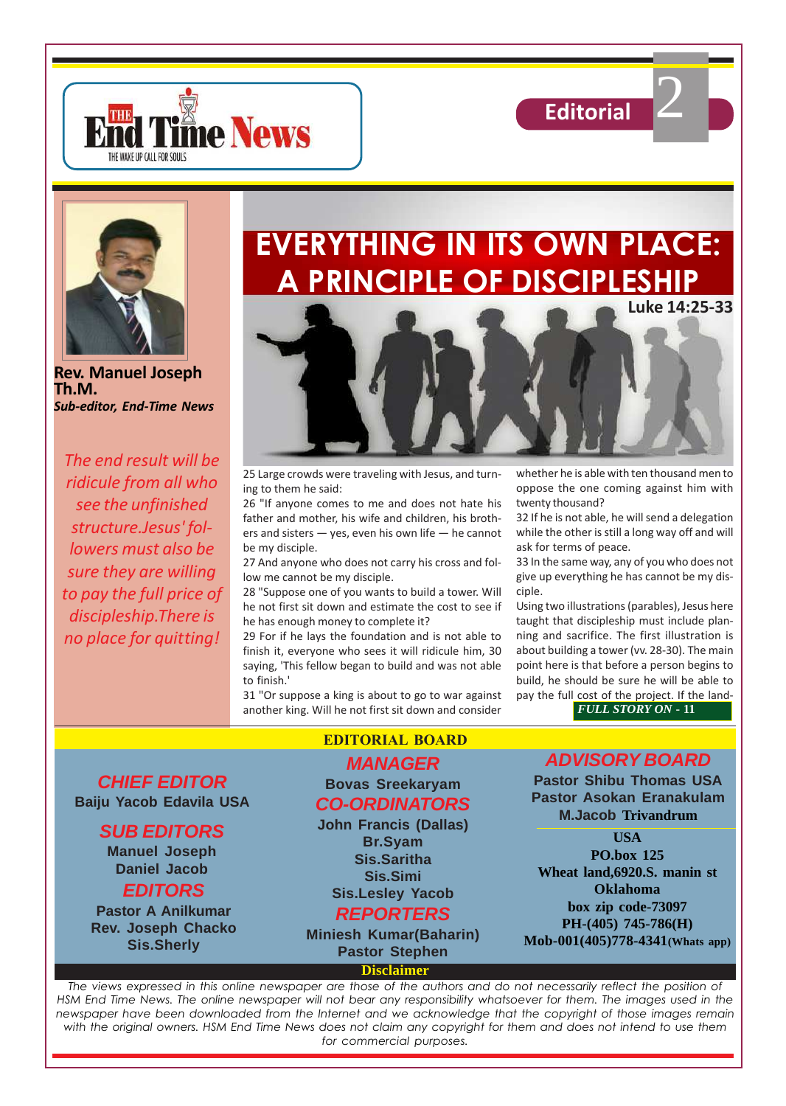

2





**Rev. Manuel Joseph Th.M.** *Sub-editor, End-Time News*

*The end result will be ridicule from all who see the unfinished structure.Jesus' followers must also be sure they are willing to pay the full price of discipleship.There is no place for quitting!*

## **EVERYTHING IN ITS OWN PLACE: A PRINCIPLE OF DISCIPLESHIP**



25 Large crowds were traveling with Jesus, and turning to them he said:

26 "If anyone comes to me and does not hate his father and mother, his wife and children, his brothers and sisters — yes, even his own life — he cannot be my disciple.

27 And anyone who does not carry his cross and follow me cannot be my disciple.

28 "Suppose one of you wants to build a tower. Will he not first sit down and estimate the cost to see if he has enough money to complete it?

29 For if he lays the foundation and is not able to finish it, everyone who sees it will ridicule him, 30 saying, 'This fellow began to build and was not able to finish.'

31 "Or suppose a king is about to go to war against another king. Will he not first sit down and consider

whether he is able with ten thousand men to oppose the one coming against him with twenty thousand?

32 If he is not able, he will send a delegation while the other is still a long way off and will ask for terms of peace.

33 In the same way, any of you who does not give up everything he has cannot be my disciple.

Using two illustrations (parables), Jesus here taught that discipleship must include planning and sacrifice. The first illustration is about building a tower (vv. 28-30). The main point here is that before a person begins to build, he should be sure he will be able to pay the full cost of the project. If the land-

*FULL STORY ON* **- 11**

**CHIEF EDITOR Baiju Yacob Edavila USA**

### **SUB EDITORS**

**Manuel Joseph Daniel Jacob**

**EDITORS**

**Pastor A Anilkumar Rev. Joseph Chacko Sis.Sherly**

### **EDITORIAL BOARD**

#### **MANAGER Bovas Sreekaryam CO-ORDINATORS**

**John Francis (Dallas) Br.Syam Sis.Saritha Sis.Simi Sis.Lesley Yacob**

### **REPORTERS**

**Miniesh Kumar(Baharin) Pastor Stephen**

**Disclaimer**

### **ADVISORY BOARD**

**Pastor Shibu Thomas USA Pastor Asokan Eranakulam M.Jacob Trivandrum**

**USA PO.box 125 Wheat land,6920.S. manin st Oklahoma box zip code-73097 PH-(405) 745-786(H) Mob-001(405)778-4341(Whats app)**

*The views expressed in this online newspaper are those of the authors and do not necessarily reflect the position of HSM End Time News. The online newspaper will not bear any responsibility whatsoever for them. The images used in the newspaper have been downloaded from the Internet and we acknowledge that the copyright of those images remain with the original owners. HSM End Time News does not claim any copyright for them and does not intend to use them for commercial purposes.*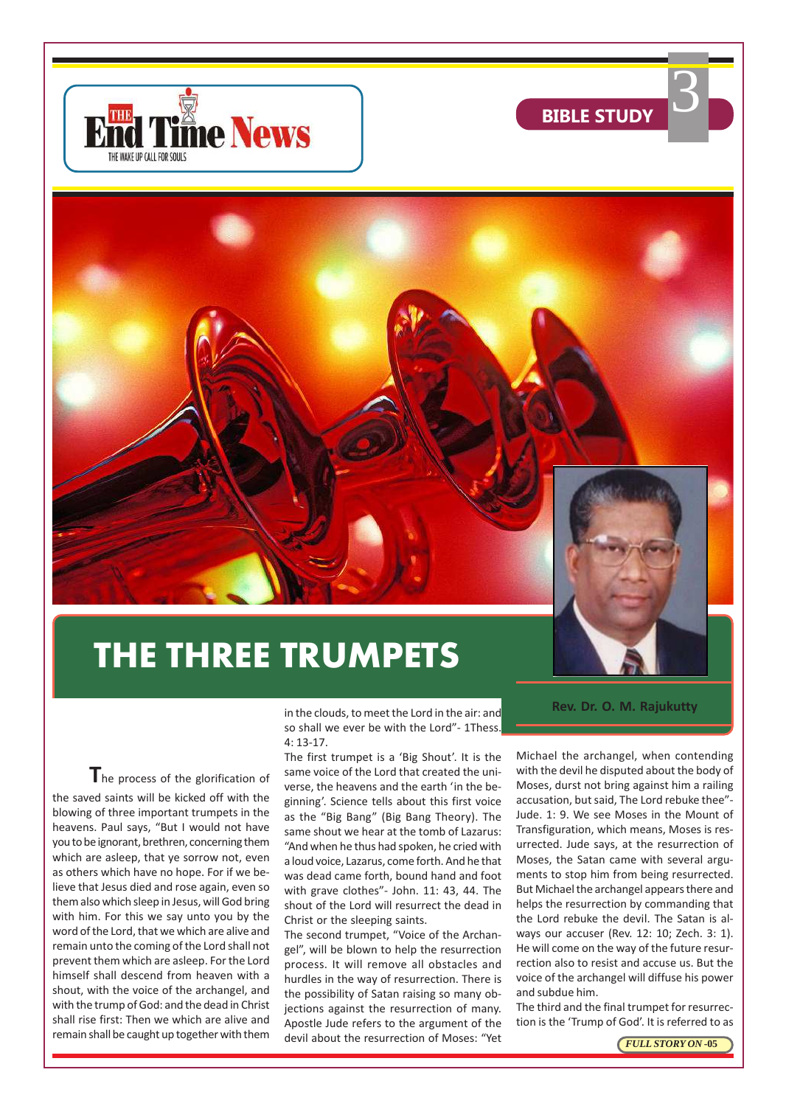



**BIBLE STUDY** 

## **THE THREE TRUMPETS**

in the clouds, to meet the Lord in the air: and so shall we ever be with the Lord"- 1Thess. 4: 13-17.

The process of the glorification of the saved saints will be kicked off with the blowing of three important trumpets in the heavens. Paul says, "But I would not have you to be ignorant, brethren, concerning them which are asleep, that ye sorrow not, even as others which have no hope. For if we believe that Jesus died and rose again, even so them also which sleep in Jesus, will God bring with him. For this we say unto you by the word of the Lord, that we which are alive and remain unto the coming of the Lord shall not prevent them which are asleep. For the Lord himself shall descend from heaven with a shout, with the voice of the archangel, and with the trump of God: and the dead in Christ shall rise first: Then we which are alive and remain shall be caught up together with them

The first trumpet is a 'Big Shout'. It is the same voice of the Lord that created the universe, the heavens and the earth 'in the beginning'. Science tells about this first voice as the "Big Bang" (Big Bang Theory). The same shout we hear at the tomb of Lazarus: "And when he thus had spoken, he cried with a loud voice, Lazarus, come forth. And he that was dead came forth, bound hand and foot with grave clothes"- John. 11: 43, 44. The shout of the Lord will resurrect the dead in Christ or the sleeping saints.

The second trumpet, "Voice of the Archangel", will be blown to help the resurrection process. It will remove all obstacles and hurdles in the way of resurrection. There is the possibility of Satan raising so many objections against the resurrection of many. Apostle Jude refers to the argument of the devil about the resurrection of Moses: "Yet

**Rev. Dr. O. M. Rajukutty**

Michael the archangel, when contending with the devil he disputed about the body of Moses, durst not bring against him a railing accusation, but said, The Lord rebuke thee"- Jude. 1: 9. We see Moses in the Mount of Transfiguration, which means, Moses is resurrected. Jude says, at the resurrection of Moses, the Satan came with several arguments to stop him from being resurrected. But Michael the archangel appears there and helps the resurrection by commanding that the Lord rebuke the devil. The Satan is always our accuser (Rev. 12: 10; Zech. 3: 1). He will come on the way of the future resurrection also to resist and accuse us. But the voice of the archangel will diffuse his power and subdue him.

The third and the final trumpet for resurrection is the 'Trump of God'. It is referred to as

*FULL STORY ON* **-05**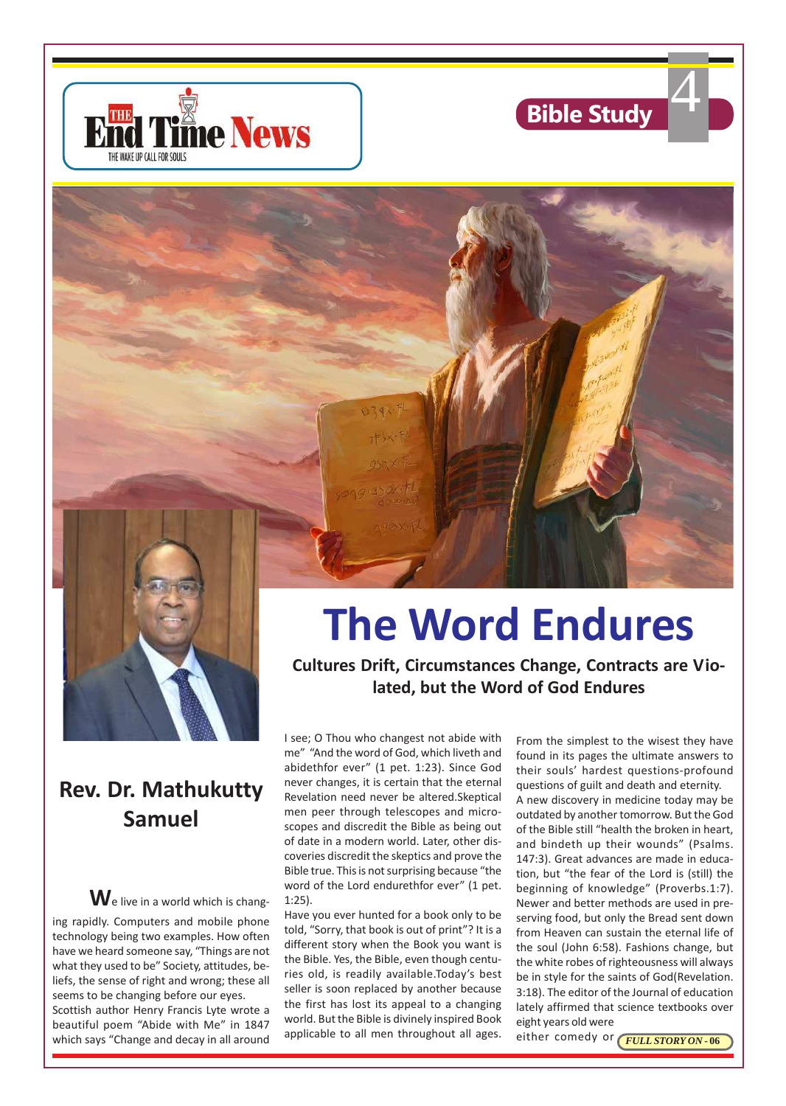





### **Rev. Dr. Mathukutty Samuel**

**W**e live in a world which is changing rapidly. Computers and mobile phone technology being two examples. How often have we heard someone say, "Things are not what they used to be" Society, attitudes, beliefs, the sense of right and wrong; these all seems to be changing before our eyes. Scottish author Henry Francis Lyte wrote a beautiful poem "Abide with Me" in 1847 which says "Change and decay in all around

# **The Word Endures**

**Cultures Drift, Circumstances Change, Contracts are Violated, but the Word of God Endures**

I see; O Thou who changest not abide with me" "And the word of God, which liveth and abidethfor ever" (1 pet. 1:23). Since God never changes, it is certain that the eternal Revelation need never be altered.Skeptical men peer through telescopes and microscopes and discredit the Bible as being out of date in a modern world. Later, other discoveries discredit the skeptics and prove the Bible true. This is not surprising because "the word of the Lord endurethfor ever" (1 pet. 1:25).

Have you ever hunted for a book only to be told, "Sorry, that book is out of print"? It is a different story when the Book you want is the Bible. Yes, the Bible, even though centuries old, is readily available.Today's best seller is soon replaced by another because the first has lost its appeal to a changing world. But the Bible is divinely inspired Book applicable to all men throughout all ages.

From the simplest to the wisest they have found in its pages the ultimate answers to their souls' hardest questions-profound questions of guilt and death and eternity. A new discovery in medicine today may be outdated by another tomorrow. But the God of the Bible still "health the broken in heart, and bindeth up their wounds" (Psalms. 147:3). Great advances are made in education, but "the fear of the Lord is (still) the beginning of knowledge" (Proverbs.1:7). Newer and better methods are used in preserving food, but only the Bread sent down from Heaven can sustain the eternal life of the soul (John 6:58). Fashions change, but the white robes of righteousness will always be in style for the saints of God(Revelation. 3:18). The editor of the Journal of education lately affirmed that science textbooks over eight years old were

either comedy or **FULL STORY ON - 06**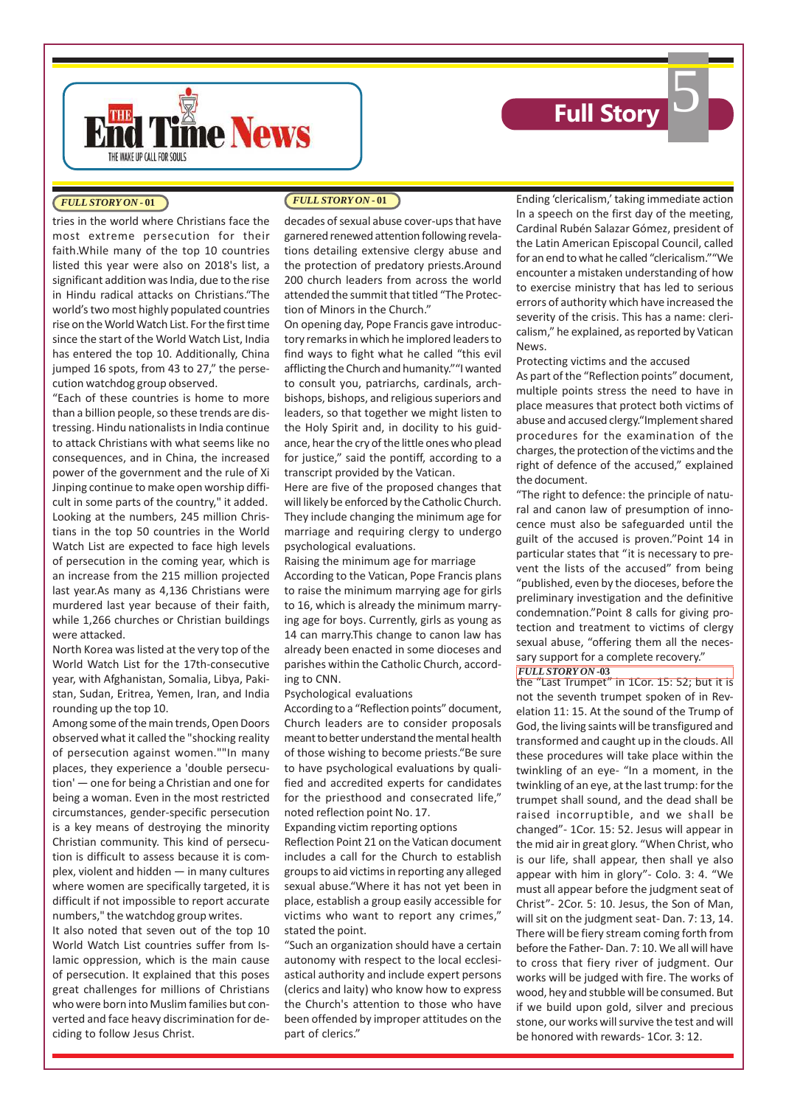



#### *FULL STORY ON* **- 01**

tries in the world where Christians face the most extreme persecution for their faith.While many of the top 10 countries listed this year were also on 2018's list, a significant addition was India, due to the rise in Hindu radical attacks on Christians."The world's two most highly populated countries rise on the World Watch List. For the first time since the start of the World Watch List, India has entered the top 10. Additionally, China jumped 16 spots, from 43 to 27," the persecution watchdog group observed.

"Each of these countries is home to more than a billion people, so these trends are distressing. Hindu nationalists in India continue to attack Christians with what seems like no consequences, and in China, the increased power of the government and the rule of Xi Jinping continue to make open worship difficult in some parts of the country," it added. Looking at the numbers, 245 million Christians in the top 50 countries in the World Watch List are expected to face high levels of persecution in the coming year, which is an increase from the 215 million projected last year.As many as 4,136 Christians were murdered last year because of their faith, while 1,266 churches or Christian buildings were attacked.

North Korea was listed at the very top of the World Watch List for the 17th-consecutive year, with Afghanistan, Somalia, Libya, Pakistan, Sudan, Eritrea, Yemen, Iran, and India rounding up the top 10.

Among some of the main trends, Open Doors observed what it called the "shocking reality of persecution against women.""In many places, they experience a 'double persecution' — one for being a Christian and one for being a woman. Even in the most restricted circumstances, gender-specific persecution is a key means of destroying the minority Christian community. This kind of persecution is difficult to assess because it is complex, violent and hidden — in many cultures where women are specifically targeted, it is difficult if not impossible to report accurate numbers," the watchdog group writes.

It also noted that seven out of the top 10 World Watch List countries suffer from Islamic oppression, which is the main cause of persecution. It explained that this poses great challenges for millions of Christians who were born into Muslim families but converted and face heavy discrimination for deciding to follow Jesus Christ.

decades of sexual abuse cover-ups that have garnered renewed attention following revelations detailing extensive clergy abuse and the protection of predatory priests.Around 200 church leaders from across the world attended the summit that titled "The Protection of Minors in the Church."

On opening day, Pope Francis gave introductory remarks in which he implored leaders to find ways to fight what he called "this evil afflicting the Church and humanity.""I wanted to consult you, patriarchs, cardinals, archbishops, bishops, and religious superiors and leaders, so that together we might listen to the Holy Spirit and, in docility to his guidance, hear the cry of the little ones who plead for justice," said the pontiff, according to a transcript provided by the Vatican.

Here are five of the proposed changes that will likely be enforced by the Catholic Church. They include changing the minimum age for marriage and requiring clergy to undergo psychological evaluations.

Raising the minimum age for marriage According to the Vatican, Pope Francis plans to raise the minimum marrying age for girls to 16, which is already the minimum marrying age for boys. Currently, girls as young as 14 can marry.This change to canon law has already been enacted in some dioceses and parishes within the Catholic Church, according to CNN.

#### Psychological evaluations

According to a "Reflection points" document, Church leaders are to consider proposals meant to better understand the mental health of those wishing to become priests."Be sure to have psychological evaluations by qualified and accredited experts for candidates for the priesthood and consecrated life," noted reflection point No. 17.

Expanding victim reporting options

Reflection Point 21 on the Vatican document includes a call for the Church to establish groups to aid victims in reporting any alleged sexual abuse."Where it has not yet been in place, establish a group easily accessible for victims who want to report any crimes," stated the point.

"Such an organization should have a certain autonomy with respect to the local ecclesiastical authority and include expert persons (clerics and laity) who know how to express the Church's attention to those who have been offended by improper attitudes on the part of clerics."

*FULL STORY ON* **- 01** Ending 'clericalism,' taking immediate action In a speech on the first day of the meeting, Cardinal Rubén Salazar Gómez, president of the Latin American Episcopal Council, called for an end to what he called "clericalism.""We encounter a mistaken understanding of how to exercise ministry that has led to serious errors of authority which have increased the severity of the crisis. This has a name: clericalism," he explained, as reported by Vatican News.

#### Protecting victims and the accused

As part of the "Reflection points" document, multiple points stress the need to have in place measures that protect both victims of abuse and accused clergy."Implement shared procedures for the examination of the charges, the protection of the victims and the right of defence of the accused," explained the document.

"The right to defence: the principle of natural and canon law of presumption of innocence must also be safeguarded until the guilt of the accused is proven."Point 14 in particular states that "it is necessary to prevent the lists of the accused" from being "published, even by the dioceses, before the preliminary investigation and the definitive condemnation."Point 8 calls for giving protection and treatment to victims of clergy sexual abuse, "offering them all the necessary support for a complete recovery."

#### *FULL STORY ON* **-03**

the "Last Trumpet" in 1Cor. 15: 52; but it is not the seventh trumpet spoken of in Revelation 11: 15. At the sound of the Trump of God, the living saints will be transfigured and transformed and caught up in the clouds. All these procedures will take place within the twinkling of an eye- "In a moment, in the twinkling of an eye, at the last trump: for the trumpet shall sound, and the dead shall be raised incorruptible, and we shall be changed"- 1Cor. 15: 52. Jesus will appear in the mid air in great glory. "When Christ, who is our life, shall appear, then shall ye also appear with him in glory"- Colo. 3: 4. "We must all appear before the judgment seat of Christ"- 2Cor. 5: 10. Jesus, the Son of Man, will sit on the judgment seat- Dan. 7: 13, 14. There will be fiery stream coming forth from before the Father- Dan. 7: 10. We all will have to cross that fiery river of judgment. Our works will be judged with fire. The works of wood, hey and stubble will be consumed. But if we build upon gold, silver and precious stone, our works will survive the test and will be honored with rewards- 1Cor. 3: 12.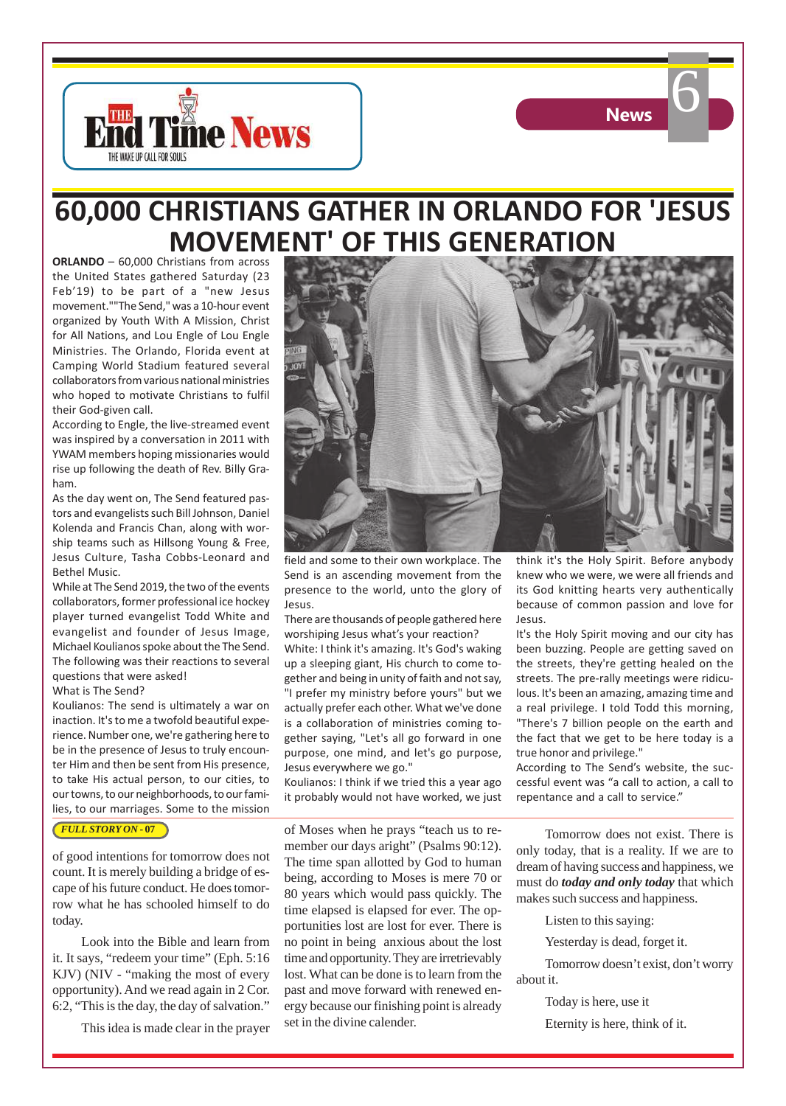

### **60,000 CHRISTIANS GATHER IN ORLANDO FOR 'JESUS MOVEMENT' OF THIS GENERATION**

**ORLANDO** – 60,000 Christians from across the United States gathered Saturday (23 Feb'19) to be part of a "new Jesus movement.""The Send," was a 10-hour event organized by Youth With A Mission, Christ for All Nations, and Lou Engle of Lou Engle Ministries. The Orlando, Florida event at Camping World Stadium featured several collaborators from various national ministries who hoped to motivate Christians to fulfil their God-given call.

THE WAKE UP CALL FOR SOULS

**THE IN THING News** 

According to Engle, the live-streamed event was inspired by a conversation in 2011 with YWAM members hoping missionaries would rise up following the death of Rev. Billy Graham.

As the day went on, The Send featured pastors and evangelists such Bill Johnson, Daniel Kolenda and Francis Chan, along with worship teams such as Hillsong Young & Free, Jesus Culture, Tasha Cobbs-Leonard and Bethel Music.

While at The Send 2019, the two of the events collaborators, former professional ice hockey player turned evangelist Todd White and evangelist and founder of Jesus Image, Michael Koulianos spoke about the The Send. The following was their reactions to several questions that were asked!

#### What is The Send?

Koulianos: The send is ultimately a war on inaction. It's to me a twofold beautiful experience. Number one, we're gathering here to be in the presence of Jesus to truly encounter Him and then be sent from His presence, to take His actual person, to our cities, to our towns, to our neighborhoods, to our families, to our marriages. Some to the mission

#### *FULL STORY ON* **- 07**

of good intentions for tomorrow does not count. It is merely building a bridge of escape of his future conduct. He does tomorrow what he has schooled himself to do today.

Look into the Bible and learn from it. It says, "redeem your time" (Eph. 5:16 KJV) (NIV - "making the most of every opportunity). And we read again in 2 Cor. 6:2, "This is the day, the day of salvation."

This idea is made clear in the prayer



field and some to their own workplace. The Send is an ascending movement from the presence to the world, unto the glory of Jesus.

There are thousands of people gathered here worshiping Jesus what's your reaction?

White: I think it's amazing. It's God's waking up a sleeping giant, His church to come together and being in unity of faith and not say, "I prefer my ministry before yours" but we actually prefer each other. What we've done is a collaboration of ministries coming together saying, "Let's all go forward in one purpose, one mind, and let's go purpose, Jesus everywhere we go."

Koulianos: I think if we tried this a year ago it probably would not have worked, we just

of Moses when he prays "teach us to remember our days aright" (Psalms 90:12). The time span allotted by God to human being, according to Moses is mere 70 or 80 years which would pass quickly. The time elapsed is elapsed for ever. The opportunities lost are lost for ever. There is no point in being anxious about the lost time and opportunity. They are irretrievably lost. What can be done is to learn from the past and move forward with renewed energy because our finishing point is already set in the divine calender.

think it's the Holy Spirit. Before anybody knew who we were, we were all friends and its God knitting hearts very authentically because of common passion and love for Jesus.

It's the Holy Spirit moving and our city has been buzzing. People are getting saved on the streets, they're getting healed on the streets. The pre-rally meetings were ridiculous. It's been an amazing, amazing time and a real privilege. I told Todd this morning, "There's 7 billion people on the earth and the fact that we get to be here today is a true honor and privilege."

According to The Send's website, the successful event was "a call to action, a call to repentance and a call to service."

Tomorrow does not exist. There is only today, that is a reality. If we are to dream of having success and happiness, we must do *today and only today* that which makes such success and happiness.

Listen to this saying:

Yesterday is dead, forget it.

Tomorrow doesn't exist, don't worry about it.

Today is here, use it

Eternity is here, think of it.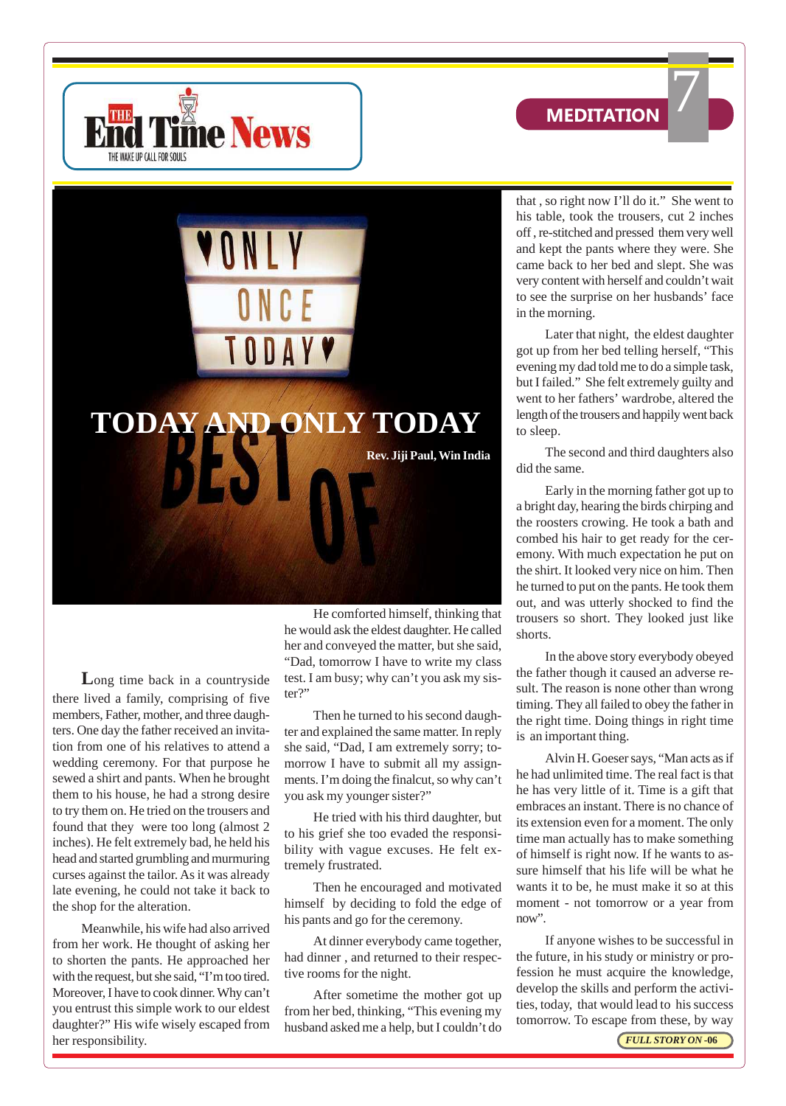





**L**ong time back in a countryside there lived a family, comprising of five members, Father, mother, and three daughters. One day the father received an invitation from one of his relatives to attend a wedding ceremony. For that purpose he sewed a shirt and pants. When he brought them to his house, he had a strong desire to try them on. He tried on the trousers and found that they were too long (almost 2 inches). He felt extremely bad, he held his head and started grumbling and murmuring curses against the tailor. As it was already late evening, he could not take it back to the shop for the alteration.

Meanwhile, his wife had also arrived from her work. He thought of asking her to shorten the pants. He approached her with the request, but she said, "I'm too tired. Moreover, I have to cook dinner. Why can't you entrust this simple work to our eldest daughter?" His wife wisely escaped from her responsibility.

He comforted himself, thinking that he would ask the eldest daughter. He called her and conveyed the matter, but she said, "Dad, tomorrow I have to write my class test. I am busy; why can't you ask my sister?"

Then he turned to his second daughter and explained the same matter. In reply she said, "Dad, I am extremely sorry; tomorrow I have to submit all my assignments. I'm doing the finalcut, so why can't you ask my younger sister?"

He tried with his third daughter, but to his grief she too evaded the responsibility with vague excuses. He felt extremely frustrated.

Then he encouraged and motivated himself by deciding to fold the edge of his pants and go for the ceremony.

At dinner everybody came together, had dinner , and returned to their respective rooms for the night.

After sometime the mother got up from her bed, thinking, "This evening my husband asked me a help, but I couldn't do that , so right now I'll do it." She went to his table, took the trousers, cut 2 inches off , re-stitched and pressed them very well and kept the pants where they were. She came back to her bed and slept. She was very content with herself and couldn't wait to see the surprise on her husbands' face in the morning.

Later that night, the eldest daughter got up from her bed telling herself, "This evening my dad told me to do a simple task, but I failed." She felt extremely guilty and went to her fathers' wardrobe, altered the length of the trousers and happily went back to sleep.

The second and third daughters also did the same.

Early in the morning father got up to a bright day, hearing the birds chirping and the roosters crowing. He took a bath and combed his hair to get ready for the ceremony. With much expectation he put on the shirt. It looked very nice on him. Then he turned to put on the pants. He took them out, and was utterly shocked to find the trousers so short. They looked just like shorts.

In the above story everybody obeyed the father though it caused an adverse result. The reason is none other than wrong timing. They all failed to obey the father in the right time. Doing things in right time is an important thing.

Alvin H. Goeser says, "Man acts as if he had unlimited time. The real fact is that he has very little of it. Time is a gift that embraces an instant. There is no chance of its extension even for a moment. The only time man actually has to make something of himself is right now. If he wants to assure himself that his life will be what he wants it to be, he must make it so at this moment - not tomorrow or a year from now".

If anyone wishes to be successful in the future, in his study or ministry or profession he must acquire the knowledge, develop the skills and perform the activities, today, that would lead to his success tomorrow. To escape from these, by way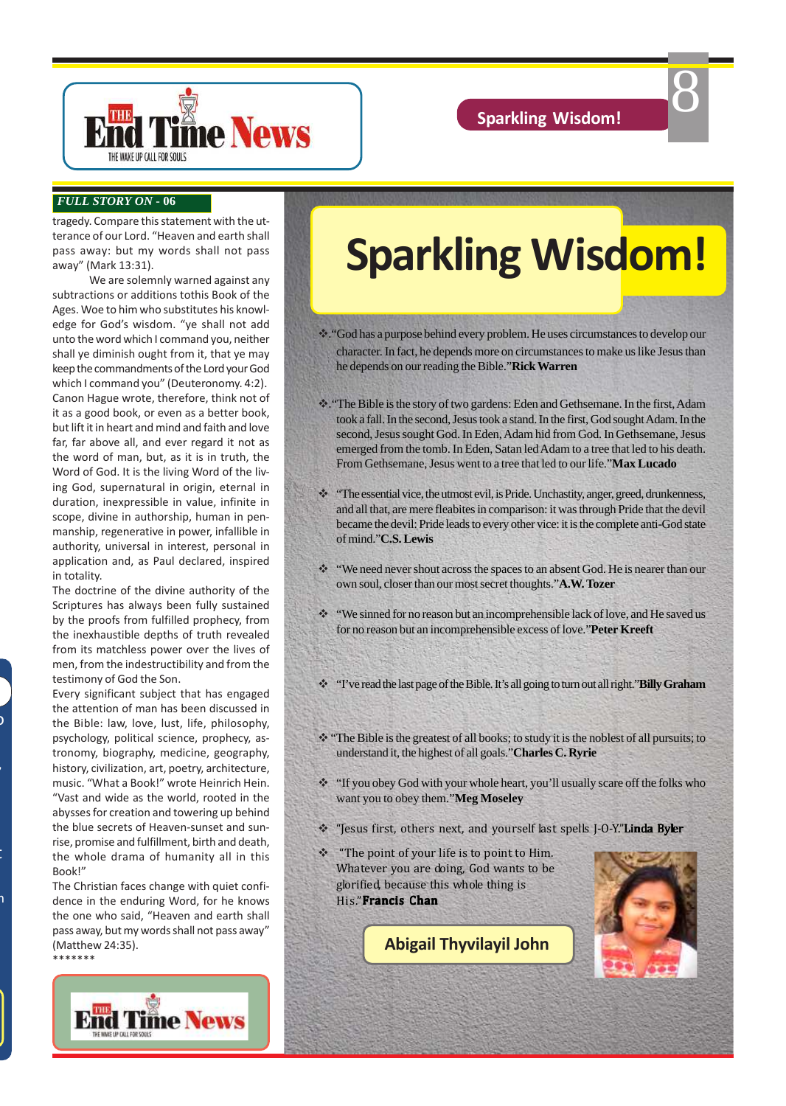8



#### *FULL STORY ON* **- 06**

tragedy. Compare this statement with the utterance of our Lord. "Heaven and earth shall pass away: but my words shall not pass away" (Mark 13:31).

We are solemnly warned against any subtractions or additions tothis Book of the Ages. Woe to him who substitutes his knowledge for God's wisdom. "ye shall not add unto the word which I command you, neither shall ye diminish ought from it, that ye may keep the commandments of the Lord your God which I command you" (Deuteronomy. 4:2). Canon Hague wrote, therefore, think not of it as a good book, or even as a better book, but lift it in heart and mind and faith and love far, far above all, and ever regard it not as the word of man, but, as it is in truth, the Word of God. It is the living Word of the living God, supernatural in origin, eternal in duration, inexpressible in value, infinite in scope, divine in authorship, human in penmanship, regenerative in power, infallible in authority, universal in interest, personal in application and, as Paul declared, inspired in totality.

The doctrine of the divine authority of the Scriptures has always been fully sustained by the proofs from fulfilled prophecy, from the inexhaustible depths of truth revealed from its matchless power over the lives of men, from the indestructibility and from the testimony of God the Son.

Every significant subject that has engaged the attention of man has been discussed in the Bible: law, love, lust, life, philosophy, psychology, political science, prophecy, astronomy, biography, medicine, geography, history, civilization, art, poetry, architecture, music. "What a Book!" wrote Heinrich Hein. "Vast and wide as the world, rooted in the abysses for creation and towering up behind the blue secrets of Heaven-sunset and sunrise, promise and fulfillment, birth and death, the whole drama of humanity all in this Book!"

 $\mathfrak{z}$ 

azine,

contribute, please contact contact contact contact contact contact contact contact contact contact contact contact contact contact contact contact contact contact contact contact contact contact contact contact contact con

h<br>1

The Christian faces change with quiet confidence in the enduring Word, for he knows the one who said, "Heaven and earth shall pass away, but my words shall not pass away" (Matthew 24:35). \*\*\*\*\*\*\*



# **Sparkling Wisdom!**

- v."God has a purpose behind every problem. He uses circumstances to develop our character. In fact, he depends more on circumstances to make us like Jesus than he depends on our reading the Bible."**Rick Warren**
- v."The Bible is the story of two gardens: Eden and Gethsemane. In the first, Adam took a fall. In the second, Jesus took a stand. In the first, God sought Adam. In the second, Jesus sought God. In Eden, Adam hid from God. In Gethsemane, Jesus emerged from the tomb. In Eden, Satan led Adam to a tree that led to his death. From Gethsemane, Jesus went to a tree that led to our life."**Max Lucado**
- v "The essential vice, the utmost evil, is Pride. Unchastity, anger, greed, drunkenness, and all that, are mere fleabites in comparison: it was through Pride that the devil became the devil: Pride leads to every other vice: it is the complete anti-God state of mind."**C.S. Lewis**
- v "We need never shout across the spaces to an absent God. He is nearer than our own soul, closer than our most secret thoughts."**A.W. Tozer**
- $\cdot$  "We sinned for no reason but an incomprehensible lack of love, and He saved us for no reason but an incomprehensible excess of love."**Peter Kreeft**
- v "I've read the last page of the Bible. It's all going to turn out all right."**Billy Graham**
- $\cdot$  "The Bible is the greatest of all books; to study it is the noblest of all pursuits; to understand it, the highest of all goals."**Charles C. Ryrie**
- \* "If you obey God with your whole heart, you'll usually scare off the folks who want you to obey them."**Meg Moseley**
- \* "Jesus first, others next, and yourself last spells J-O-Y."Linda Byler
- \* "The point of your life is to point to Him. Whatever you are doing, God wants to be glorified, because this whole thing is His."Francis Chan

**Abigail Thyvilayil John**

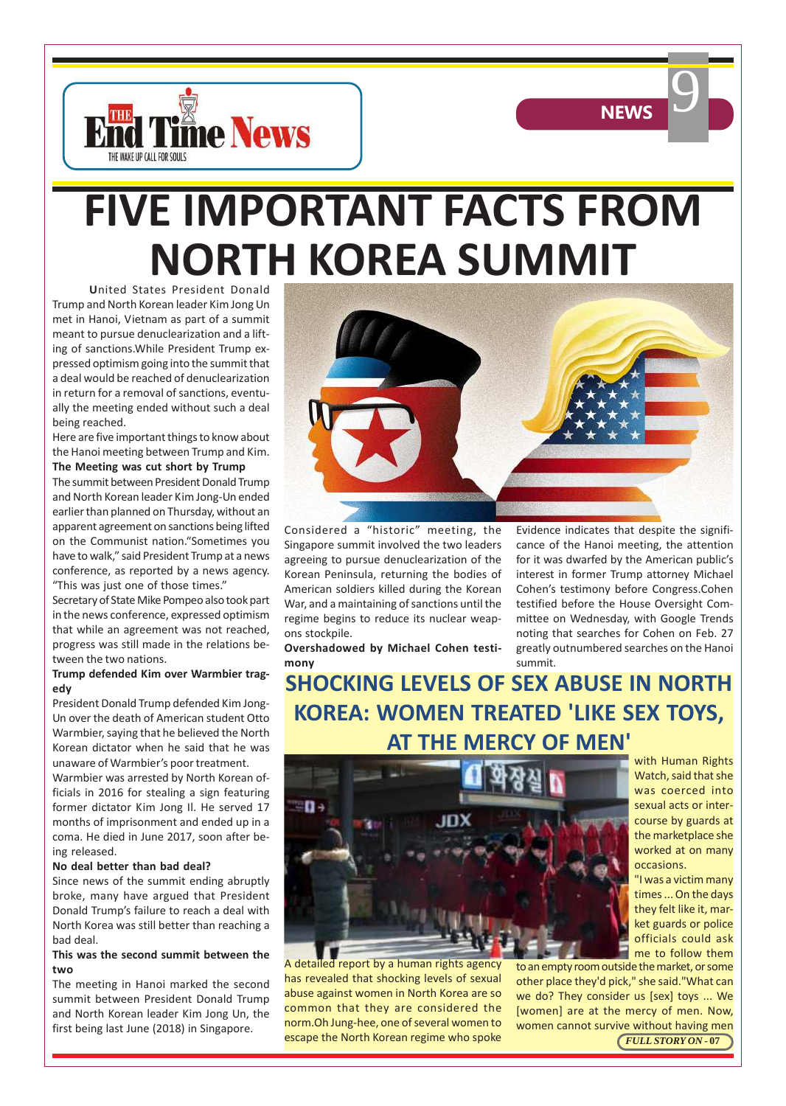



**U**nited States President Donald Trump and North Korean leader Kim Jong Un met in Hanoi, Vietnam as part of a summit meant to pursue denuclearization and a lifting of sanctions.While President Trump expressed optimism going into the summit that a deal would be reached of denuclearization in return for a removal of sanctions, eventually the meeting ended without such a deal being reached.

Here are five important things to know about the Hanoi meeting between Trump and Kim. **The Meeting was cut short by Trump**

The summit between President Donald Trump and North Korean leader Kim Jong-Un ended earlier than planned on Thursday, without an apparent agreement on sanctions being lifted on the Communist nation."Sometimes you have to walk," said President Trump at a news conference, as reported by a news agency. "This was just one of those times."

Secretary of State Mike Pompeo also took part in the news conference, expressed optimism that while an agreement was not reached, progress was still made in the relations between the two nations.

#### **Trump defended Kim over Warmbier tragedy**

President Donald Trump defended Kim Jong-Un over the death of American student Otto Warmbier, saying that he believed the North Korean dictator when he said that he was unaware of Warmbier's poor treatment.

Warmbier was arrested by North Korean officials in 2016 for stealing a sign featuring former dictator Kim Jong Il. He served 17 months of imprisonment and ended up in a coma. He died in June 2017, soon after being released.

#### **No deal better than bad deal?**

Since news of the summit ending abruptly broke, many have argued that President Donald Trump's failure to reach a deal with North Korea was still better than reaching a bad deal.

#### **This was the second summit between the two**

The meeting in Hanoi marked the second summit between President Donald Trump and North Korean leader Kim Jong Un, the first being last June (2018) in Singapore.



Considered a "historic" meeting, the Singapore summit involved the two leaders agreeing to pursue denuclearization of the Korean Peninsula, returning the bodies of American soldiers killed during the Korean War, and a maintaining of sanctions until the regime begins to reduce its nuclear weapons stockpile.

**Overshadowed by Michael Cohen testimony**

Evidence indicates that despite the significance of the Hanoi meeting, the attention for it was dwarfed by the American public's interest in former Trump attorney Michael Cohen's testimony before Congress.Cohen testified before the House Oversight Committee on Wednesday, with Google Trends noting that searches for Cohen on Feb. 27 greatly outnumbered searches on the Hanoi summit.

**NEWS** 

### **SHOCKING LEVELS OF SEX ABUSE IN NORTH KOREA: WOMEN TREATED 'LIKE SEX TOYS, AT THE MERCY OF MEN'**



A detailed report by a human rights agency has revealed that shocking levels of sexual abuse against women in North Korea are so common that they are considered the norm.Oh Jung-hee, one of several women to

with Human Rights Watch, said that she was coerced into sexual acts or intercourse by guards at the marketplace she worked at on many occasions.

"I was a victim many times ... On the days they felt like it, market guards or police officials could ask me to follow them

escape the North Korean regime who spoke **FULL STORY ON** - 07 to an empty room outside the market, or some other place they'd pick," she said."What can we do? They consider us [sex] toys ... We [women] are at the mercy of men. Now, women cannot survive without having men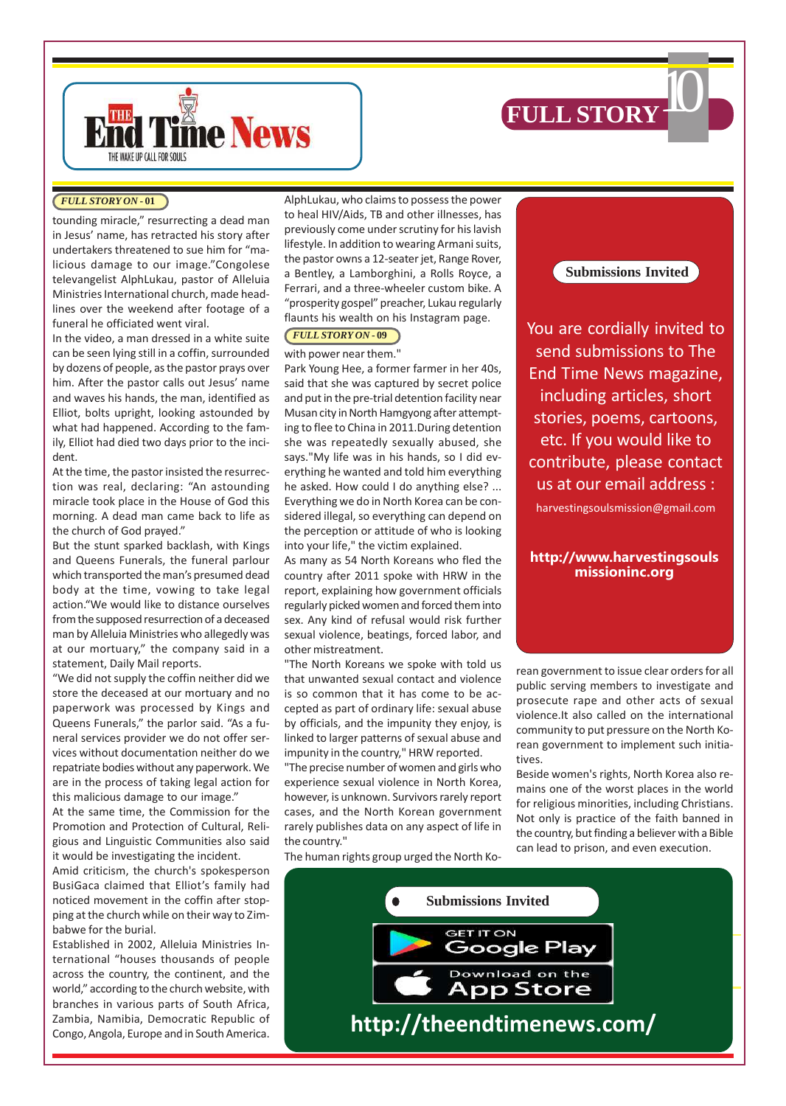



tounding miracle," resurrecting a dead man in Jesus' name, has retracted his story after undertakers threatened to sue him for "malicious damage to our image."Congolese televangelist AlphLukau, pastor of Alleluia Ministries International church, made headlines over the weekend after footage of a funeral he officiated went viral.

In the video, a man dressed in a white suite can be seen lying still in a coffin, surrounded by dozens of people, as the pastor prays over him. After the pastor calls out Jesus' name and waves his hands, the man, identified as Elliot, bolts upright, looking astounded by what had happened. According to the family, Elliot had died two days prior to the incident.

At the time, the pastor insisted the resurrection was real, declaring: "An astounding miracle took place in the House of God this morning. A dead man came back to life as the church of God prayed."

But the stunt sparked backlash, with Kings and Queens Funerals, the funeral parlour which transported the man's presumed dead body at the time, vowing to take legal action."We would like to distance ourselves from the supposed resurrection of a deceased man by Alleluia Ministries who allegedly was at our mortuary," the company said in a statement, Daily Mail reports.

"We did not supply the coffin neither did we store the deceased at our mortuary and no paperwork was processed by Kings and Queens Funerals," the parlor said. "As a funeral services provider we do not offer services without documentation neither do we repatriate bodies without any paperwork. We are in the process of taking legal action for this malicious damage to our image."

At the same time, the Commission for the Promotion and Protection of Cultural, Religious and Linguistic Communities also said it would be investigating the incident.

Amid criticism, the church's spokesperson BusiGaca claimed that Elliot's family had noticed movement in the coffin after stopping at the church while on their way to Zimbabwe for the burial.

Established in 2002, Alleluia Ministries International "houses thousands of people across the country, the continent, and the world," according to the church website, with branches in various parts of South Africa, Zambia, Namibia, Democratic Republic of Congo, Angola, Europe and in South America.

**(FULL STORY ON - 01)** AlphLukau, who claims to possess the power to heal HIV/Aids, TB and other illnesses, has previously come under scrutiny for his lavish lifestyle. In addition to wearing Armani suits, the pastor owns a 12-seater jet, Range Rover, a Bentley, a Lamborghini, a Rolls Royce, a Ferrari, and a three-wheeler custom bike. A "prosperity gospel" preacher, Lukau regularly flaunts his wealth on his Instagram page.

#### *FULL STORY ON* **- 09**

with power near them." Park Young Hee, a former farmer in her 40s, said that she was captured by secret police and put in the pre-trial detention facility near Musan city in North Hamgyong after attempting to flee to China in 2011.During detention she was repeatedly sexually abused, she says."My life was in his hands, so I did everything he wanted and told him everything he asked. How could I do anything else? ... Everything we do in North Korea can be considered illegal, so everything can depend on the perception or attitude of who is looking into your life," the victim explained.

As many as 54 North Koreans who fled the country after 2011 spoke with HRW in the report, explaining how government officials regularly picked women and forced them into sex. Any kind of refusal would risk further sexual violence, beatings, forced labor, and other mistreatment.

"The North Koreans we spoke with told us that unwanted sexual contact and violence is so common that it has come to be accepted as part of ordinary life: sexual abuse by officials, and the impunity they enjoy, is linked to larger patterns of sexual abuse and impunity in the country," HRW reported.

"The precise number of women and girls who experience sexual violence in North Korea, however, is unknown. Survivors rarely report cases, and the North Korean government rarely publishes data on any aspect of life in the country."

The human rights group urged the North Ko-

**Submissions Invited**

You are cordially invited to send submissions to The End Time News magazine, including articles, short stories, poems, cartoons, etc. If you would like to contribute, please contact us at our email address : harvestingsoulsmission@gmail.com

#### **http://www.harvestingsouls missioninc.org**

rean government to issue clear orders for all public serving members to investigate and prosecute rape and other acts of sexual violence.It also called on the international community to put pressure on the North Korean government to implement such initiatives.

Beside women's rights, North Korea also remains one of the worst places in the world for religious minorities, including Christians. Not only is practice of the faith banned in the country, but finding a believer with a Bible can lead to prison, and even execution.

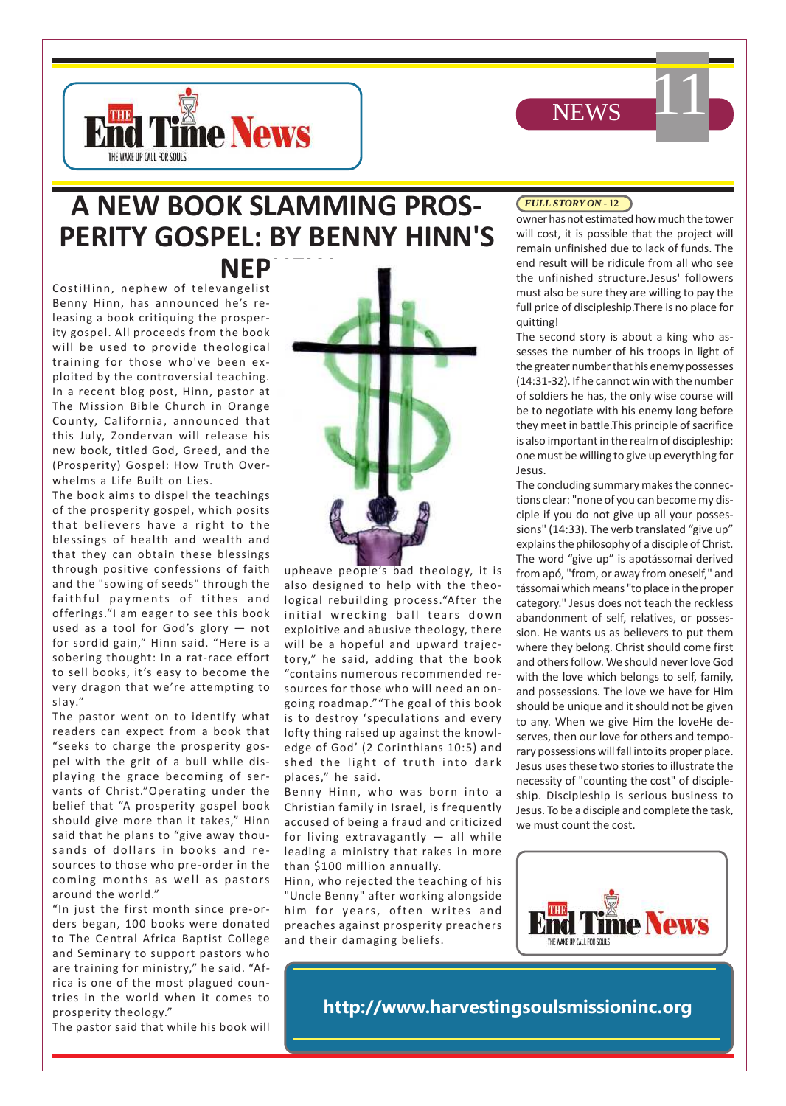



# **A NEW BOOK SLAMMING PROS-PERITY GOSPEL: BY BENNY HINN'S**

**NEP** 

CostiHinn, nephew of televangelist Benny Hinn, has announced he's releasing a book critiquing the prosperity gospel. All proceeds from the book will be used to provide theological training for those who've been exploited by the controversial teaching. In a recent blog post, Hinn, pastor at The Mission Bible Church in Orange County, California, announced that this July, Zondervan will release his new book, titled God, Greed, and the (Prosperity) Gospel: How Truth Overwhelms a Life Built on Lies.

The book aims to dispel the teachings of the prosperity gospel, which posits that believers have a right to the blessings of health and wealth and that they can obtain these blessings through positive confessions of faith and the "sowing of seeds" through the faithful payments of tithes and offerings."I am eager to see this book used as a tool for God's glory — not for sordid gain," Hinn said. "Here is a sobering thought: In a rat-race effort to sell books, it's easy to become the very dragon that we're attempting to slay."

The pastor went on to identify what readers can expect from a book that "seeks to charge the prosperity gospel with the grit of a bull while displaying the grace becoming of servants of Christ."Operating under the belief that "A prosperity gospel book should give more than it takes," Hinn said that he plans to "give away thousands of dollars in books and resources to those who pre-order in the coming months as well as pastors around the world."

"In just the first month since pre-orders began, 100 books were donated to The Central Africa Baptist College and Seminary to support pastors who are training for ministry," he said. "Africa is one of the most plagued countries in the world when it comes to prosperity theology."

The pastor said that while his book will



upheave people's bad theology, it is also designed to help with the theological rebuilding process."After the initial wrecking ball tears down exploitive and abusive theology, there will be a hopeful and upward trajectory," he said, adding that the book "contains numerous recommended resources for those who will need an ongoing roadmap.""The goal of this book is to destroy 'speculations and every lofty thing raised up against the knowledge of God' (2 Corinthians 10:5) and shed the light of truth into dark places," he said.

Benny Hinn, who was born into a Christian family in Israel, is frequently accused of being a fraud and criticized for living extravagantly — all while leading a ministry that rakes in more than \$100 million annually.

Hinn, who rejected the teaching of his "Uncle Benny" after working alongside him for years, often writes and preaches against prosperity preachers and their damaging beliefs.

#### *FULL STORY ON* **- 12**

owner has not estimated how much the tower will cost, it is possible that the project will remain unfinished due to lack of funds. The end result will be ridicule from all who see the unfinished structure.Jesus' followers must also be sure they are willing to pay the full price of discipleship.There is no place for quitting!

11

The second story is about a king who assesses the number of his troops in light of the greater number that his enemy possesses (14:31-32). If he cannot win with the number of soldiers he has, the only wise course will be to negotiate with his enemy long before they meet in battle.This principle of sacrifice is also important in the realm of discipleship: one must be willing to give up everything for Jesus.

The concluding summary makes the connections clear: "none of you can become my disciple if you do not give up all your possessions" (14:33). The verb translated "give up" explains the philosophy of a disciple of Christ. The word "give up" is apotássomai derived from apó, "from, or away from oneself," and tássomai which means "to place in the proper category." Jesus does not teach the reckless abandonment of self, relatives, or possession. He wants us as believers to put them where they belong. Christ should come first and others follow. We should never love God with the love which belongs to self, family, and possessions. The love we have for Him should be unique and it should not be given to any. When we give Him the loveHe deserves, then our love for others and temporary possessions will fall into its proper place. Jesus uses these two stories to illustrate the necessity of "counting the cost" of discipleship. Discipleship is serious business to Jesus. To be a disciple and complete the task, we must count the cost.



**http://www.harvestingsoulsmissioninc.org**